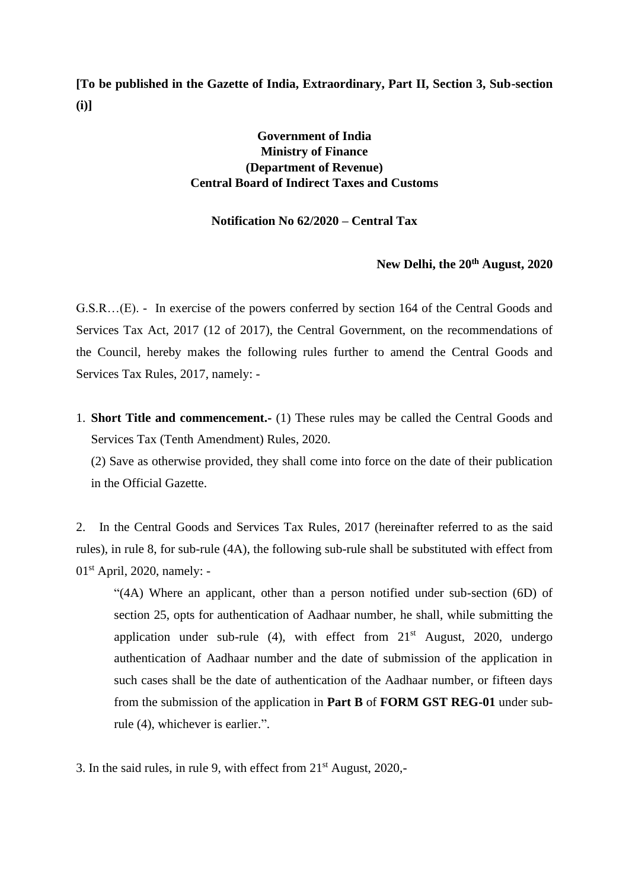**[To be published in the Gazette of India, Extraordinary, Part II, Section 3, Sub-section (i)]**

## **Government of India Ministry of Finance (Department of Revenue) Central Board of Indirect Taxes and Customs**

## **Notification No 62/2020 – Central Tax**

## **New Delhi, the 20th August, 2020**

G.S.R…(E). - In exercise of the powers conferred by section 164 of the Central Goods and Services Tax Act, 2017 (12 of 2017), the Central Government, on the recommendations of the Council, hereby makes the following rules further to amend the Central Goods and Services Tax Rules, 2017, namely: -

1. **Short Title and commencement.-** (1) These rules may be called the Central Goods and Services Tax (Tenth Amendment) Rules, 2020.

(2) Save as otherwise provided, they shall come into force on the date of their publication in the Official Gazette.

2. In the Central Goods and Services Tax Rules, 2017 (hereinafter referred to as the said rules), in rule 8, for sub-rule (4A), the following sub-rule shall be substituted with effect from  $01<sup>st</sup>$  April, 2020, namely: -

"(4A) Where an applicant, other than a person notified under sub-section (6D) of section 25, opts for authentication of Aadhaar number, he shall, while submitting the application under sub-rule  $(4)$ , with effect from  $21<sup>st</sup>$  August, 2020, undergo authentication of Aadhaar number and the date of submission of the application in such cases shall be the date of authentication of the Aadhaar number, or fifteen days from the submission of the application in **Part B** of **FORM GST REG-01** under subrule (4), whichever is earlier.".

3. In the said rules, in rule 9, with effect from  $21<sup>st</sup>$  August, 2020,-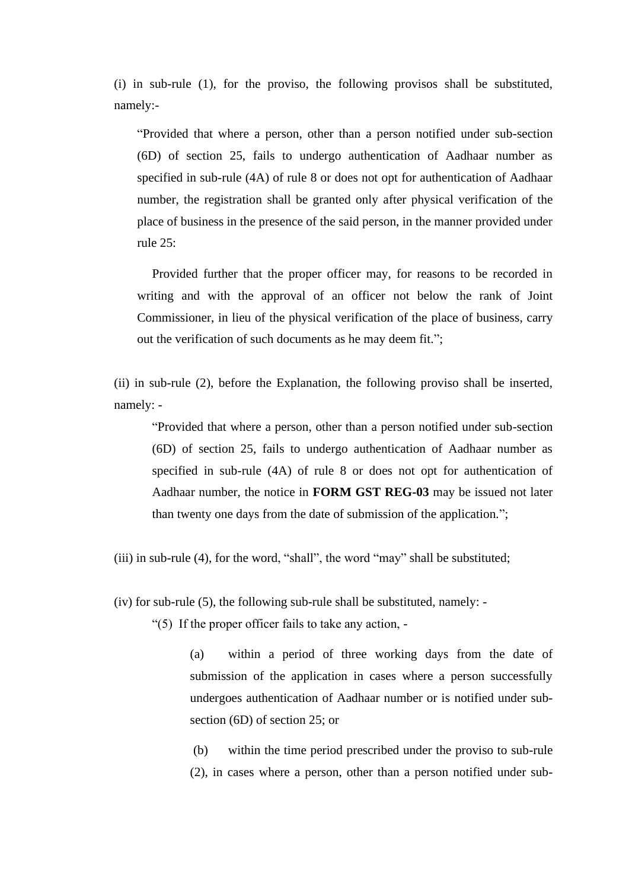(i) in sub-rule (1), for the proviso, the following provisos shall be substituted, namely:-

"Provided that where a person, other than a person notified under sub-section (6D) of section 25, fails to undergo authentication of Aadhaar number as specified in sub-rule (4A) of rule 8 or does not opt for authentication of Aadhaar number, the registration shall be granted only after physical verification of the place of business in the presence of the said person, in the manner provided under rule 25:

Provided further that the proper officer may, for reasons to be recorded in writing and with the approval of an officer not below the rank of Joint Commissioner, in lieu of the physical verification of the place of business, carry out the verification of such documents as he may deem fit.";

(ii) in sub-rule (2), before the Explanation, the following proviso shall be inserted, namely: -

"Provided that where a person, other than a person notified under sub-section (6D) of section 25, fails to undergo authentication of Aadhaar number as specified in sub-rule (4A) of rule 8 or does not opt for authentication of Aadhaar number, the notice in **FORM GST REG-03** may be issued not later than twenty one days from the date of submission of the application.";

(iii) in sub-rule (4), for the word, "shall", the word "may" shall be substituted;

(iv) for sub-rule (5), the following sub-rule shall be substituted, namely: -

"(5) If the proper officer fails to take any action, -

(a) within a period of three working days from the date of submission of the application in cases where a person successfully undergoes authentication of Aadhaar number or is notified under subsection (6D) of section 25; or

(b) within the time period prescribed under the proviso to sub-rule (2), in cases where a person, other than a person notified under sub